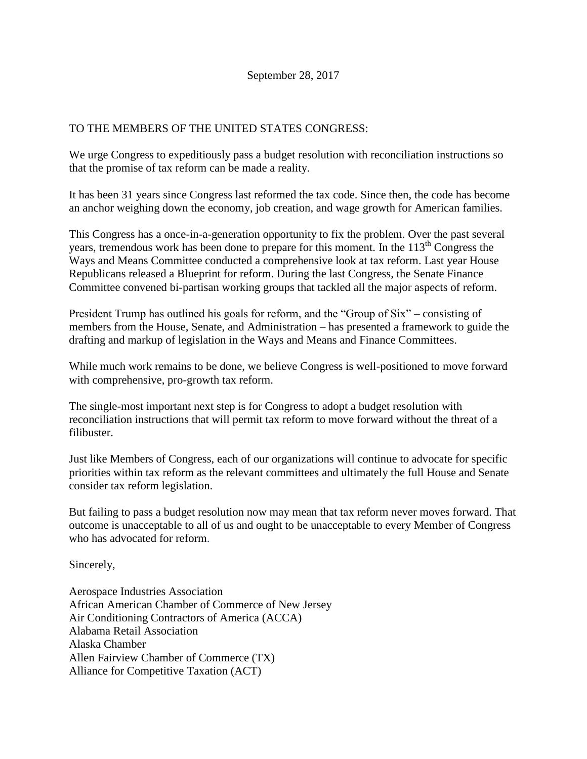## TO THE MEMBERS OF THE UNITED STATES CONGRESS:

We urge Congress to expeditiously pass a budget resolution with reconciliation instructions so that the promise of tax reform can be made a reality.

It has been 31 years since Congress last reformed the tax code. Since then, the code has become an anchor weighing down the economy, job creation, and wage growth for American families.

This Congress has a once-in-a-generation opportunity to fix the problem. Over the past several years, tremendous work has been done to prepare for this moment. In the  $113<sup>th</sup>$  Congress the Ways and Means Committee conducted a comprehensive look at tax reform. Last year House Republicans released a Blueprint for reform. During the last Congress, the Senate Finance Committee convened bi-partisan working groups that tackled all the major aspects of reform.

President Trump has outlined his goals for reform, and the "Group of Six" – consisting of members from the House, Senate, and Administration – has presented a framework to guide the drafting and markup of legislation in the Ways and Means and Finance Committees.

While much work remains to be done, we believe Congress is well-positioned to move forward with comprehensive, pro-growth tax reform.

The single-most important next step is for Congress to adopt a budget resolution with reconciliation instructions that will permit tax reform to move forward without the threat of a filibuster.

Just like Members of Congress, each of our organizations will continue to advocate for specific priorities within tax reform as the relevant committees and ultimately the full House and Senate consider tax reform legislation.

But failing to pass a budget resolution now may mean that tax reform never moves forward. That outcome is unacceptable to all of us and ought to be unacceptable to every Member of Congress who has advocated for reform.

Sincerely,

Aerospace Industries Association African American Chamber of Commerce of New Jersey Air Conditioning Contractors of America (ACCA) Alabama Retail Association Alaska Chamber Allen Fairview Chamber of Commerce (TX) Alliance for Competitive Taxation (ACT)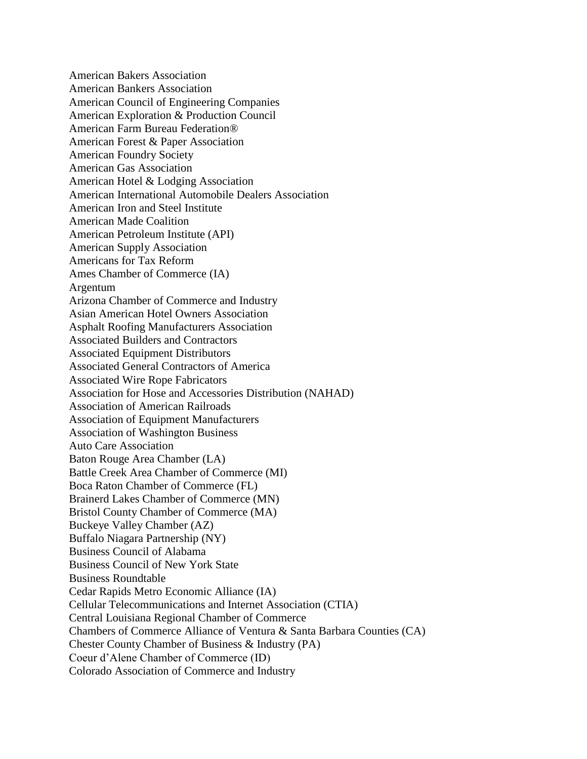American Bakers Association American Bankers Association American Council of Engineering Companies American Exploration & Production Council American Farm Bureau Federation® American Forest & Paper Association American Foundry Society American Gas Association American Hotel & Lodging Association American International Automobile Dealers Association American Iron and Steel Institute American Made Coalition American Petroleum Institute (API) American Supply Association Americans for Tax Reform Ames Chamber of Commerce (IA) Argentum Arizona Chamber of Commerce and Industry Asian American Hotel Owners Association Asphalt Roofing Manufacturers Association Associated Builders and Contractors Associated Equipment Distributors Associated General Contractors of America Associated Wire Rope Fabricators Association for Hose and Accessories Distribution (NAHAD) Association of American Railroads Association of Equipment Manufacturers Association of Washington Business Auto Care Association Baton Rouge Area Chamber (LA) Battle Creek Area Chamber of Commerce (MI) Boca Raton Chamber of Commerce (FL) Brainerd Lakes Chamber of Commerce (MN) Bristol County Chamber of Commerce (MA) Buckeye Valley Chamber (AZ) Buffalo Niagara Partnership (NY) Business Council of Alabama Business Council of New York State Business Roundtable Cedar Rapids Metro Economic Alliance (IA) Cellular Telecommunications and Internet Association (CTIA) Central Louisiana Regional Chamber of Commerce Chambers of Commerce Alliance of Ventura & Santa Barbara Counties (CA) Chester County Chamber of Business & Industry (PA) Coeur d'Alene Chamber of Commerce (ID) Colorado Association of Commerce and Industry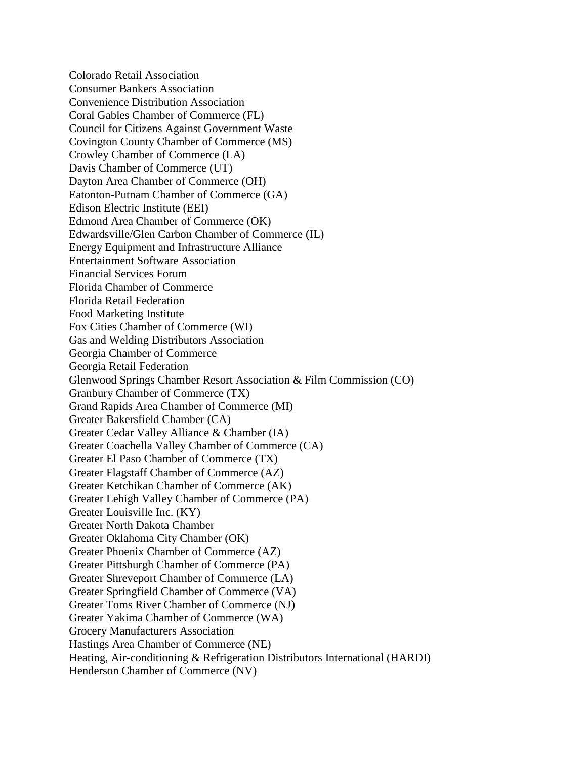Colorado Retail Association Consumer Bankers Association Convenience Distribution Association Coral Gables Chamber of Commerce (FL) Council for Citizens Against Government Waste Covington County Chamber of Commerce (MS) Crowley Chamber of Commerce (LA) Davis Chamber of Commerce (UT) Dayton Area Chamber of Commerce (OH) Eatonton-Putnam Chamber of Commerce (GA) Edison Electric Institute (EEI) Edmond Area Chamber of Commerce (OK) Edwardsville/Glen Carbon Chamber of Commerce (IL) Energy Equipment and Infrastructure Alliance Entertainment Software Association Financial Services Forum Florida Chamber of Commerce Florida Retail Federation Food Marketing Institute Fox Cities Chamber of Commerce (WI) Gas and Welding Distributors Association Georgia Chamber of Commerce Georgia Retail Federation Glenwood Springs Chamber Resort Association & Film Commission (CO) Granbury Chamber of Commerce (TX) Grand Rapids Area Chamber of Commerce (MI) Greater Bakersfield Chamber (CA) Greater Cedar Valley Alliance & Chamber (IA) Greater Coachella Valley Chamber of Commerce (CA) Greater El Paso Chamber of Commerce (TX) Greater Flagstaff Chamber of Commerce (AZ) Greater Ketchikan Chamber of Commerce (AK) Greater Lehigh Valley Chamber of Commerce (PA) Greater Louisville Inc. (KY) Greater North Dakota Chamber Greater Oklahoma City Chamber (OK) Greater Phoenix Chamber of Commerce (AZ) Greater Pittsburgh Chamber of Commerce (PA) Greater Shreveport Chamber of Commerce (LA) Greater Springfield Chamber of Commerce (VA) Greater Toms River Chamber of Commerce (NJ) Greater Yakima Chamber of Commerce (WA) Grocery Manufacturers Association Hastings Area Chamber of Commerce (NE) Heating, Air-conditioning & Refrigeration Distributors International (HARDI) Henderson Chamber of Commerce (NV)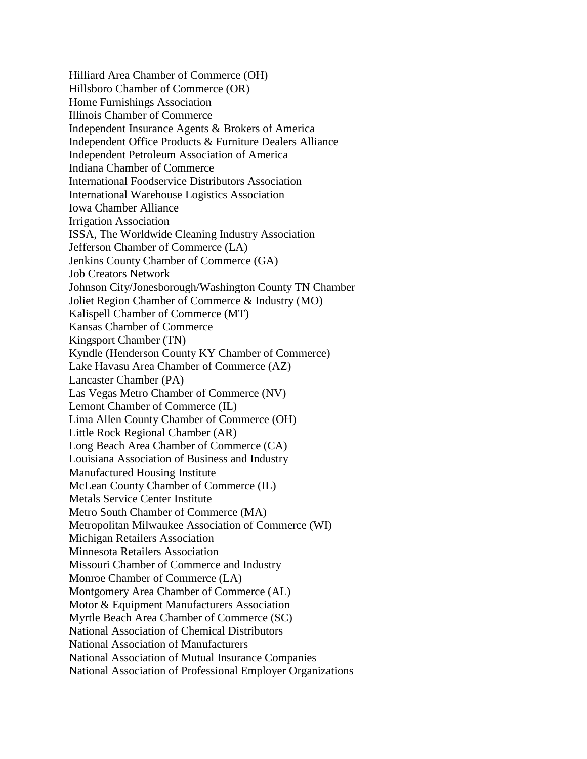Hilliard Area Chamber of Commerce (OH) Hillsboro Chamber of Commerce (OR) Home Furnishings Association Illinois Chamber of Commerce Independent Insurance Agents & Brokers of America Independent Office Products & Furniture Dealers Alliance Independent Petroleum Association of America Indiana Chamber of Commerce International Foodservice Distributors Association International Warehouse Logistics Association Iowa Chamber Alliance Irrigation Association ISSA, The Worldwide Cleaning Industry Association Jefferson Chamber of Commerce (LA) Jenkins County Chamber of Commerce (GA) Job Creators Network Johnson City/Jonesborough/Washington County TN Chamber Joliet Region Chamber of Commerce & Industry (MO) Kalispell Chamber of Commerce (MT) Kansas Chamber of Commerce Kingsport Chamber (TN) Kyndle (Henderson County KY Chamber of Commerce) Lake Havasu Area Chamber of Commerce (AZ) Lancaster Chamber (PA) Las Vegas Metro Chamber of Commerce (NV) Lemont Chamber of Commerce (IL) Lima Allen County Chamber of Commerce (OH) Little Rock Regional Chamber (AR) Long Beach Area Chamber of Commerce (CA) Louisiana Association of Business and Industry Manufactured Housing Institute McLean County Chamber of Commerce (IL) Metals Service Center Institute Metro South Chamber of Commerce (MA) Metropolitan Milwaukee Association of Commerce (WI) Michigan Retailers Association Minnesota Retailers Association Missouri Chamber of Commerce and Industry Monroe Chamber of Commerce (LA) Montgomery Area Chamber of Commerce (AL) Motor & Equipment Manufacturers Association Myrtle Beach Area Chamber of Commerce (SC) National Association of Chemical Distributors National Association of Manufacturers National Association of Mutual Insurance Companies National Association of Professional Employer Organizations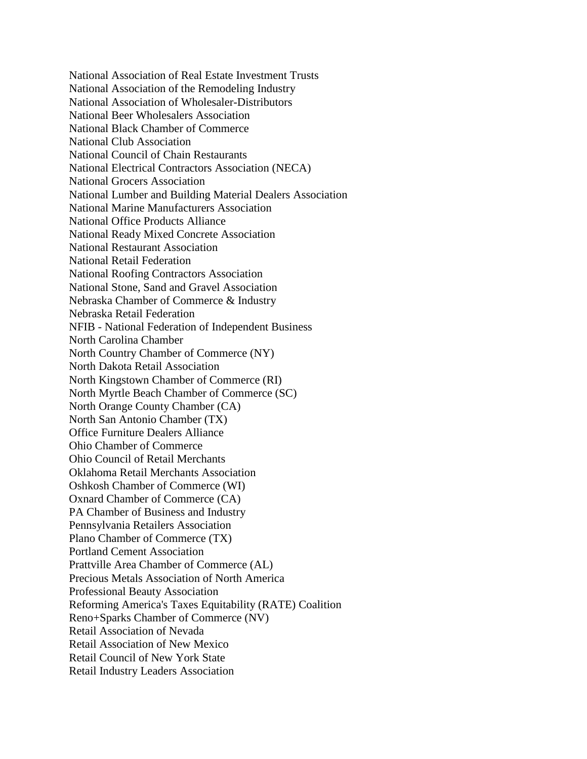National Association of Real Estate Investment Trusts National Association of the Remodeling Industry National Association of Wholesaler-Distributors National Beer Wholesalers Association National Black Chamber of Commerce National Club Association National Council of Chain Restaurants National Electrical Contractors Association (NECA) National Grocers Association National Lumber and Building Material Dealers Association National Marine Manufacturers Association National Office Products Alliance National Ready Mixed Concrete Association National Restaurant Association National Retail Federation National Roofing Contractors Association National Stone, Sand and Gravel Association Nebraska Chamber of Commerce & Industry Nebraska Retail Federation NFIB - National Federation of Independent Business North Carolina Chamber North Country Chamber of Commerce (NY) North Dakota Retail Association North Kingstown Chamber of Commerce (RI) North Myrtle Beach Chamber of Commerce (SC) North Orange County Chamber (CA) North San Antonio Chamber (TX) Office Furniture Dealers Alliance Ohio Chamber of Commerce Ohio Council of Retail Merchants Oklahoma Retail Merchants Association Oshkosh Chamber of Commerce (WI) Oxnard Chamber of Commerce (CA) PA Chamber of Business and Industry Pennsylvania Retailers Association Plano Chamber of Commerce (TX) Portland Cement Association Prattville Area Chamber of Commerce (AL) Precious Metals Association of North America Professional Beauty Association Reforming America's Taxes Equitability (RATE) Coalition Reno+Sparks Chamber of Commerce (NV) Retail Association of Nevada Retail Association of New Mexico Retail Council of New York State Retail Industry Leaders Association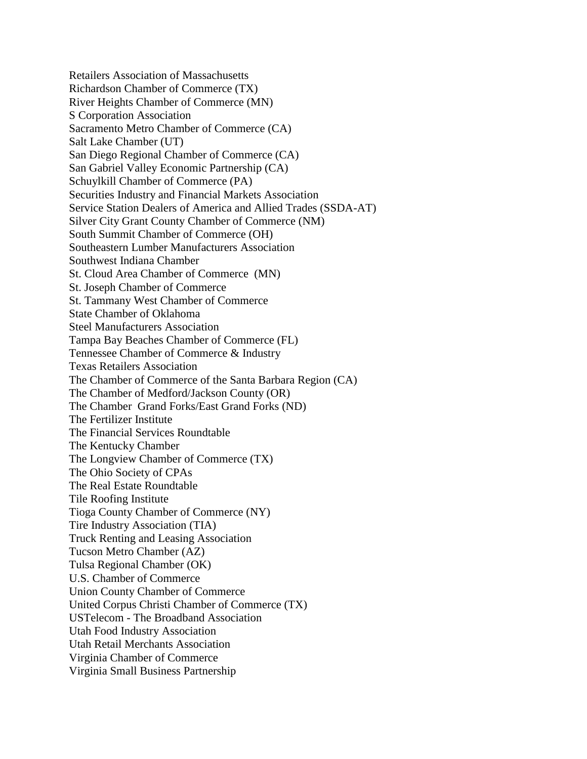Retailers Association of Massachusetts Richardson Chamber of Commerce (TX) River Heights Chamber of Commerce (MN) S Corporation Association Sacramento Metro Chamber of Commerce (CA) Salt Lake Chamber (UT) San Diego Regional Chamber of Commerce (CA) San Gabriel Valley Economic Partnership (CA) Schuylkill Chamber of Commerce (PA) Securities Industry and Financial Markets Association Service Station Dealers of America and Allied Trades (SSDA-AT) Silver City Grant County Chamber of Commerce (NM) South Summit Chamber of Commerce (OH) Southeastern Lumber Manufacturers Association Southwest Indiana Chamber St. Cloud Area Chamber of Commerce (MN) St. Joseph Chamber of Commerce St. Tammany West Chamber of Commerce State Chamber of Oklahoma Steel Manufacturers Association Tampa Bay Beaches Chamber of Commerce (FL) Tennessee Chamber of Commerce & Industry Texas Retailers Association The Chamber of Commerce of the Santa Barbara Region (CA) The Chamber of Medford/Jackson County (OR) The Chamber Grand Forks/East Grand Forks (ND) The Fertilizer Institute The Financial Services Roundtable The Kentucky Chamber The Longview Chamber of Commerce (TX) The Ohio Society of CPAs The Real Estate Roundtable Tile Roofing Institute Tioga County Chamber of Commerce (NY) Tire Industry Association (TIA) Truck Renting and Leasing Association Tucson Metro Chamber (AZ) Tulsa Regional Chamber (OK) U.S. Chamber of Commerce Union County Chamber of Commerce United Corpus Christi Chamber of Commerce (TX) USTelecom - The Broadband Association Utah Food Industry Association Utah Retail Merchants Association Virginia Chamber of Commerce Virginia Small Business Partnership